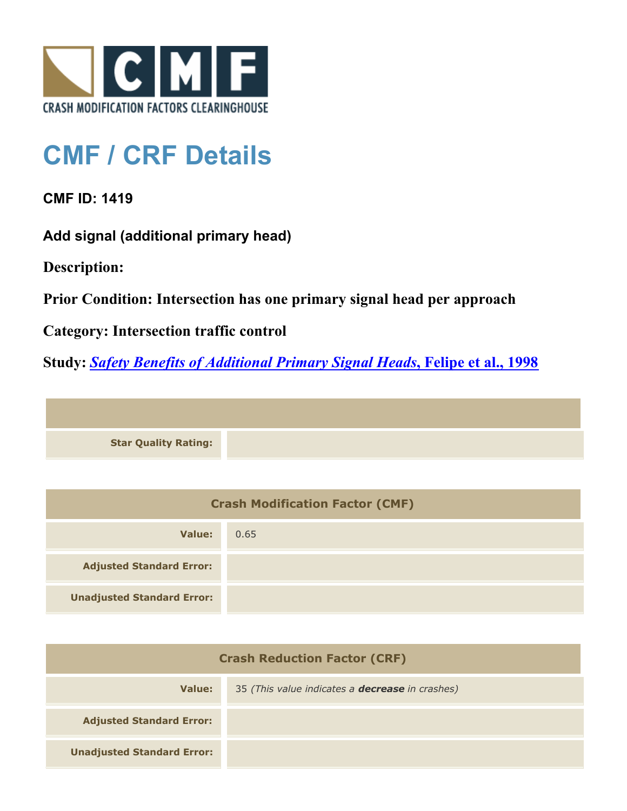

## **CMF / CRF Details**

**CMF ID: 1419**

**Add signal (additional primary head)**

**Description:** 

**Prior Condition: Intersection has one primary signal head per approach**

**Category: Intersection traffic control**

**Study:** *[Safety Benefits of Additional Primary Signal Heads](http://www.cmfclearinghouse.org/study_detail.cfm?stid=65)***[, Felipe et al., 1998](http://www.cmfclearinghouse.org/study_detail.cfm?stid=65)**

**Star Quality Rating:**

| <b>Crash Modification Factor (CMF)</b> |      |
|----------------------------------------|------|
| Value:                                 | 0.65 |
| <b>Adjusted Standard Error:</b>        |      |
| <b>Unadjusted Standard Error:</b>      |      |

| <b>Crash Reduction Factor (CRF)</b> |                                                        |
|-------------------------------------|--------------------------------------------------------|
| Value:                              | 35 (This value indicates a <b>decrease</b> in crashes) |
| <b>Adjusted Standard Error:</b>     |                                                        |
| <b>Unadjusted Standard Error:</b>   |                                                        |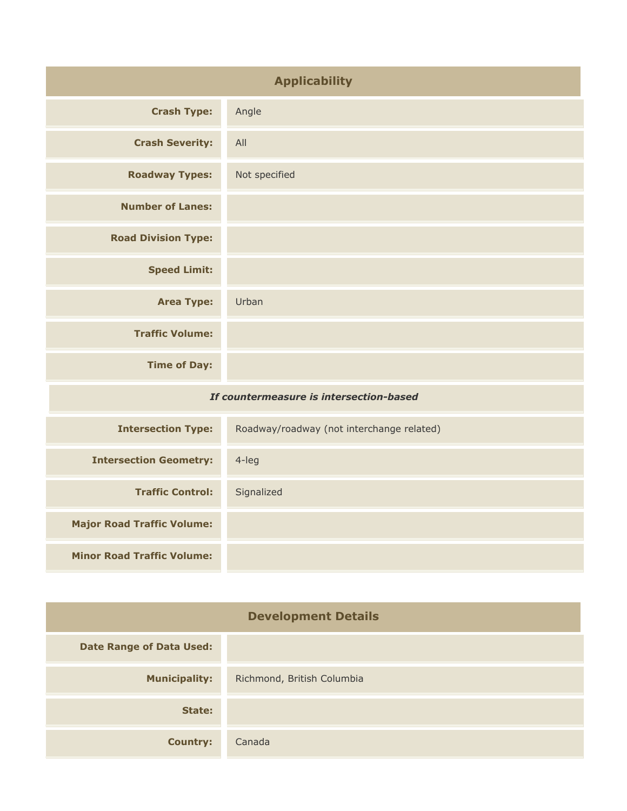| <b>Applicability</b>                    |                                           |
|-----------------------------------------|-------------------------------------------|
| <b>Crash Type:</b>                      | Angle                                     |
| <b>Crash Severity:</b>                  | All                                       |
| <b>Roadway Types:</b>                   | Not specified                             |
| <b>Number of Lanes:</b>                 |                                           |
| <b>Road Division Type:</b>              |                                           |
| <b>Speed Limit:</b>                     |                                           |
| <b>Area Type:</b>                       | Urban                                     |
| <b>Traffic Volume:</b>                  |                                           |
| <b>Time of Day:</b>                     |                                           |
| If countermeasure is intersection-based |                                           |
| <b>Intersection Type:</b>               | Roadway/roadway (not interchange related) |
| Tehnungahian Cannanturu                 | $\Delta$ $\Delta$                         |

| <b>Intersection Geometry:</b>     | $4$ -leg   |
|-----------------------------------|------------|
| <b>Traffic Control:</b>           | Signalized |
| <b>Major Road Traffic Volume:</b> |            |
| <b>Minor Road Traffic Volume:</b> |            |

| <b>Development Details</b>      |                            |
|---------------------------------|----------------------------|
| <b>Date Range of Data Used:</b> |                            |
| <b>Municipality:</b>            | Richmond, British Columbia |
| State:                          |                            |
| <b>Country:</b>                 | Canada                     |